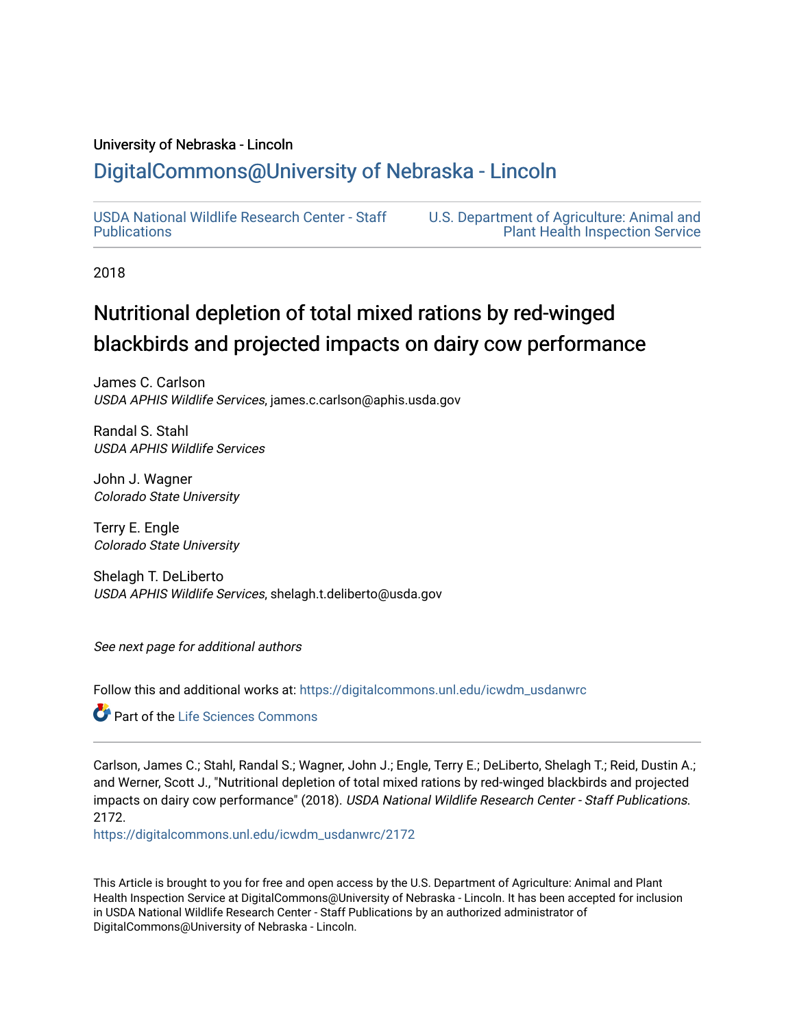### University of Nebraska - Lincoln

## [DigitalCommons@University of Nebraska - Lincoln](https://digitalcommons.unl.edu/)

[USDA National Wildlife Research Center - Staff](https://digitalcommons.unl.edu/icwdm_usdanwrc)  [Publications](https://digitalcommons.unl.edu/icwdm_usdanwrc) 

[U.S. Department of Agriculture: Animal and](https://digitalcommons.unl.edu/usdaaphis)  [Plant Health Inspection Service](https://digitalcommons.unl.edu/usdaaphis) 

2018

# Nutritional depletion of total mixed rations by red-winged blackbirds and projected impacts on dairy cow performance

James C. Carlson USDA APHIS Wildlife Services, james.c.carlson@aphis.usda.gov

Randal S. Stahl USDA APHIS Wildlife Services

John J. Wagner Colorado State University

Terry E. Engle Colorado State University

Shelagh T. DeLiberto USDA APHIS Wildlife Services, shelagh.t.deliberto@usda.gov

See next page for additional authors

Follow this and additional works at: [https://digitalcommons.unl.edu/icwdm\\_usdanwrc](https://digitalcommons.unl.edu/icwdm_usdanwrc?utm_source=digitalcommons.unl.edu%2Ficwdm_usdanwrc%2F2172&utm_medium=PDF&utm_campaign=PDFCoverPages)

**Part of the Life Sciences Commons** 

Carlson, James C.; Stahl, Randal S.; Wagner, John J.; Engle, Terry E.; DeLiberto, Shelagh T.; Reid, Dustin A.; and Werner, Scott J., "Nutritional depletion of total mixed rations by red-winged blackbirds and projected impacts on dairy cow performance" (2018). USDA National Wildlife Research Center - Staff Publications. 2172.

[https://digitalcommons.unl.edu/icwdm\\_usdanwrc/2172](https://digitalcommons.unl.edu/icwdm_usdanwrc/2172?utm_source=digitalcommons.unl.edu%2Ficwdm_usdanwrc%2F2172&utm_medium=PDF&utm_campaign=PDFCoverPages) 

This Article is brought to you for free and open access by the U.S. Department of Agriculture: Animal and Plant Health Inspection Service at DigitalCommons@University of Nebraska - Lincoln. It has been accepted for inclusion in USDA National Wildlife Research Center - Staff Publications by an authorized administrator of DigitalCommons@University of Nebraska - Lincoln.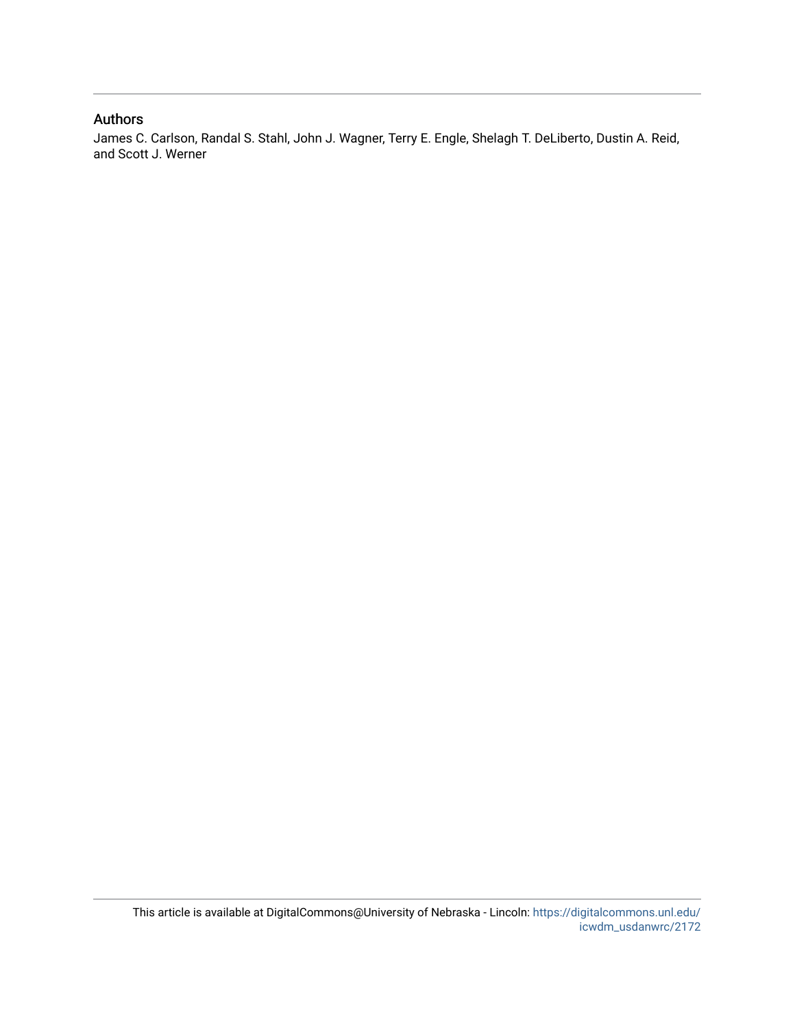### Authors

James C. Carlson, Randal S. Stahl, John J. Wagner, Terry E. Engle, Shelagh T. DeLiberto, Dustin A. Reid, and Scott J. Werner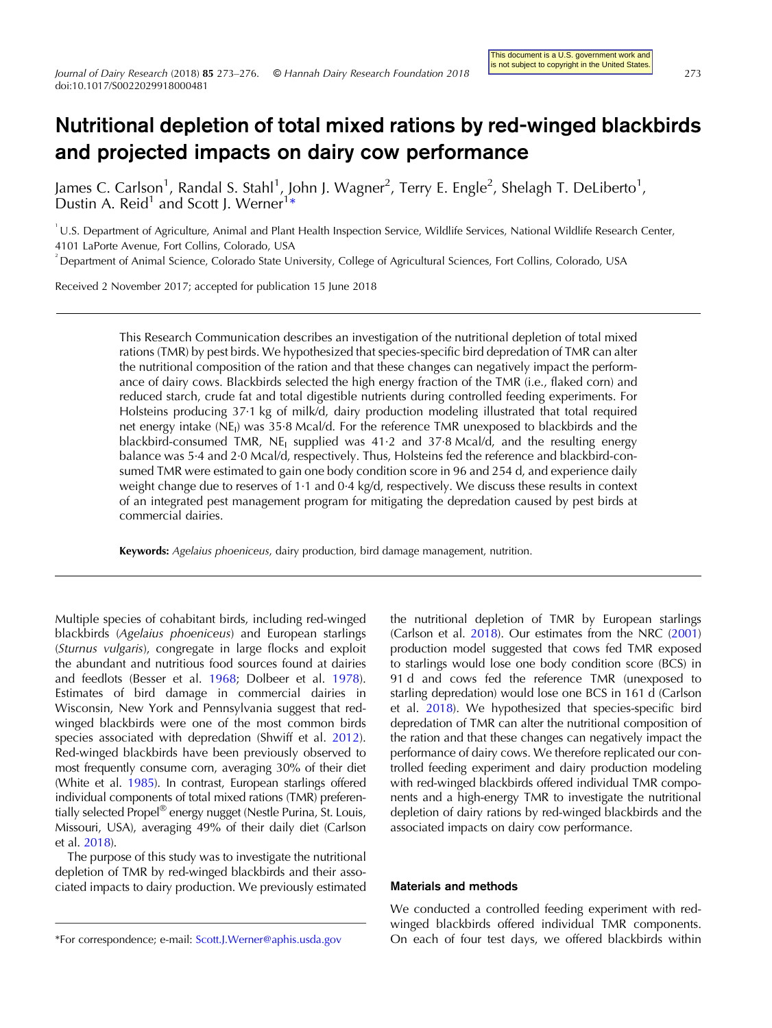# Nutritional depletion of total mixed rations by red-winged blackbirds and projected impacts on dairy cow performance

James C. Carlson<sup>1</sup>, Randal S. Stahl<sup>1</sup>, John J. Wagner<sup>2</sup>, Terry E. Engle<sup>2</sup>, Shelagh T. DeLiberto<sup>1</sup>, Dustin A. Reid<sup>1</sup> and Scott J. Werner<sup>1\*</sup>

U.S. Department of Agriculture, Animal and Plant Health Inspection Service, Wildlife Services, National Wildlife Research Center, 4101 LaPorte Avenue, Fort Collins, Colorado, USA

 $^{\circ}$ Department of Animal Science, Colorado State University, College of Agricultural Sciences, Fort Collins, Colorado, USA

Received 2 November 2017; accepted for publication 15 June 2018

This Research Communication describes an investigation of the nutritional depletion of total mixed rations (TMR) by pest birds. We hypothesized that species-specific bird depredation of TMR can alter the nutritional composition of the ration and that these changes can negatively impact the performance of dairy cows. Blackbirds selected the high energy fraction of the TMR (i.e., flaked corn) and reduced starch, crude fat and total digestible nutrients during controlled feeding experiments. For Holsteins producing 37·1 kg of milk/d, dairy production modeling illustrated that total required net energy intake (NE<sub>I</sub>) was 35·8 Mcal/d. For the reference TMR unexposed to blackbirds and the blackbird-consumed TMR,  $NE<sub>1</sub>$  supplied was 41.2 and 37.8 Mcal/d, and the resulting energy balance was 5·4 and 2·0 Mcal/d, respectively. Thus, Holsteins fed the reference and blackbird-consumed TMR were estimated to gain one body condition score in 96 and 254 d, and experience daily weight change due to reserves of 1·1 and 0·4 kg/d, respectively. We discuss these results in context of an integrated pest management program for mitigating the depredation caused by pest birds at commercial dairies.

Keywords: Agelaius phoeniceus, dairy production, bird damage management, nutrition.

Multiple species of cohabitant birds, including red-winged blackbirds (Agelaius phoeniceus) and European starlings (Sturnus vulgaris), congregate in large flocks and exploit the abundant and nutritious food sources found at dairies and feedlots (Besser et al. [1968](#page-5-0); Dolbeer et al. [1978](#page-5-0)). Estimates of bird damage in commercial dairies in Wisconsin, New York and Pennsylvania suggest that redwinged blackbirds were one of the most common birds species associated with depredation (Shwiff et al. [2012](#page-5-0)). Red-winged blackbirds have been previously observed to most frequently consume corn, averaging 30% of their diet (White et al. [1985\)](#page-5-0). In contrast, European starlings offered individual components of total mixed rations (TMR) preferentially selected Propel® energy nugget (Nestle Purina, St. Louis, Missouri, USA), averaging 49% of their daily diet (Carlson et al. [2018](#page-5-0)).

The purpose of this study was to investigate the nutritional depletion of TMR by red-winged blackbirds and their associated impacts to dairy production. We previously estimated the nutritional depletion of TMR by European starlings (Carlson et al. [2018\)](#page-5-0). Our estimates from the NRC [\(2001\)](#page-5-0) production model suggested that cows fed TMR exposed to starlings would lose one body condition score (BCS) in 91 d and cows fed the reference TMR (unexposed to starling depredation) would lose one BCS in 161 d (Carlson et al. [2018\)](#page-5-0). We hypothesized that species-specific bird depredation of TMR can alter the nutritional composition of the ration and that these changes can negatively impact the performance of dairy cows. We therefore replicated our controlled feeding experiment and dairy production modeling with red-winged blackbirds offered individual TMR components and a high-energy TMR to investigate the nutritional depletion of dairy rations by red-winged blackbirds and the associated impacts on dairy cow performance.

#### Materials and methods

We conducted a controlled feeding experiment with redwinged blackbirds offered individual TMR components. \*For correspondence; e-mail: [Scott.J.Werner@aphis.usda.gov](mailto:Scott.J.Werner@aphis.usda.gov) On each of four test days, we offered blackbirds within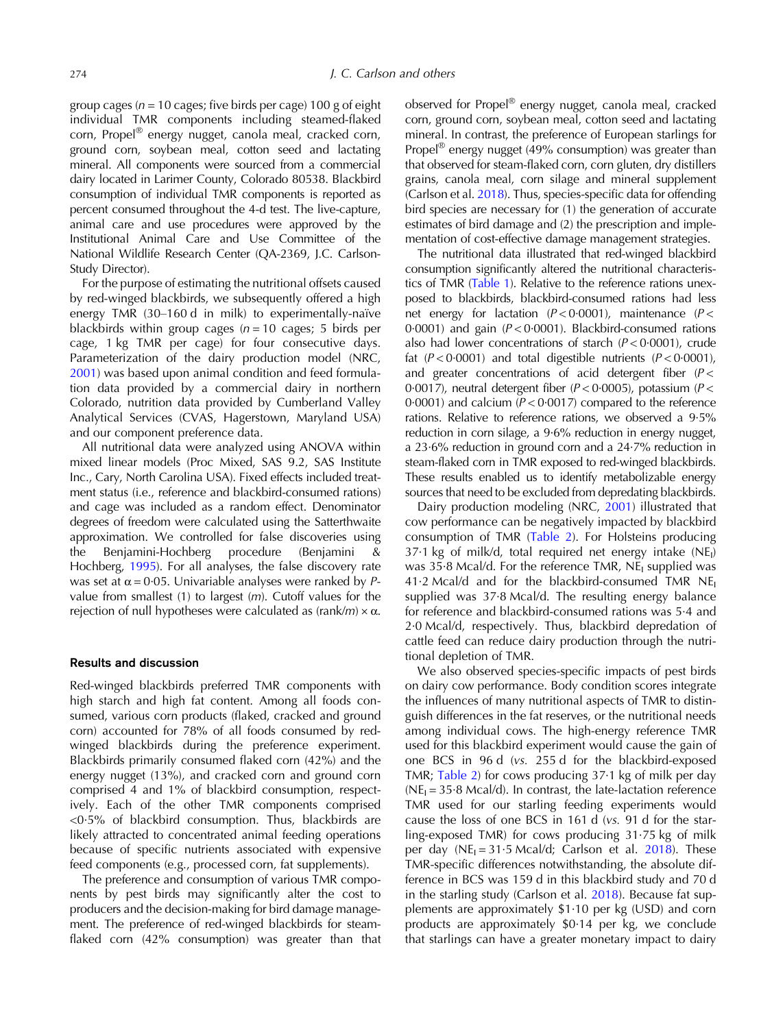group cages ( $n = 10$  cages; five birds per cage) 100 g of eight individual TMR components including steamed-flaked corn, Propel® energy nugget, canola meal, cracked corn, ground corn, soybean meal, cotton seed and lactating mineral. All components were sourced from a commercial dairy located in Larimer County, Colorado 80538. Blackbird consumption of individual TMR components is reported as percent consumed throughout the 4-d test. The live-capture, animal care and use procedures were approved by the Institutional Animal Care and Use Committee of the National Wildlife Research Center (QA-2369, J.C. Carlson-Study Director).

For the purpose of estimating the nutritional offsets caused by red-winged blackbirds, we subsequently offered a high energy TMR (30–160 d in milk) to experimentally-naïve blackbirds within group cages ( $n = 10$  cages; 5 birds per cage, 1 kg TMR per cage) for four consecutive days. Parameterization of the dairy production model (NRC, [2001\)](#page-5-0) was based upon animal condition and feed formulation data provided by a commercial dairy in northern Colorado, nutrition data provided by Cumberland Valley Analytical Services (CVAS, Hagerstown, Maryland USA) and our component preference data.

All nutritional data were analyzed using ANOVA within mixed linear models (Proc Mixed, SAS 9.2, SAS Institute Inc., Cary, North Carolina USA). Fixed effects included treatment status (i.e., reference and blackbird-consumed rations) and cage was included as a random effect. Denominator degrees of freedom were calculated using the Satterthwaite approximation. We controlled for false discoveries using the Benjamini-Hochberg procedure (Benjamini & Hochberg, [1995\)](#page-4-0). For all analyses, the false discovery rate was set at  $\alpha = 0.05$ . Univariable analyses were ranked by Pvalue from smallest  $(1)$  to largest  $(m)$ . Cutoff values for the rejection of null hypotheses were calculated as  $(rank/m) \times α$ .

### Results and discussion

Red-winged blackbirds preferred TMR components with high starch and high fat content. Among all foods consumed, various corn products (flaked, cracked and ground corn) accounted for 78% of all foods consumed by redwinged blackbirds during the preference experiment. Blackbirds primarily consumed flaked corn (42%) and the energy nugget (13%), and cracked corn and ground corn comprised 4 and 1% of blackbird consumption, respectively. Each of the other TMR components comprised  $<$ 0.5% of blackbird consumption. Thus, blackbirds are likely attracted to concentrated animal feeding operations because of specific nutrients associated with expensive feed components (e.g., processed corn, fat supplements).

The preference and consumption of various TMR components by pest birds may significantly alter the cost to producers and the decision-making for bird damage management. The preference of red-winged blackbirds for steamflaked corn (42% consumption) was greater than that observed for Propel® energy nugget, canola meal, cracked corn, ground corn, soybean meal, cotton seed and lactating mineral. In contrast, the preference of European starlings for Propel® energy nugget (49% consumption) was greater than that observed for steam-flaked corn, corn gluten, dry distillers grains, canola meal, corn silage and mineral supplement (Carlson et al. [2018\)](#page-5-0). Thus, species-specific data for offending bird species are necessary for (1) the generation of accurate estimates of bird damage and (2) the prescription and implementation of cost-effective damage management strategies.

The nutritional data illustrated that red-winged blackbird consumption significantly altered the nutritional characteristics of TMR ([Table 1\)](#page-4-0). Relative to the reference rations unexposed to blackbirds, blackbird-consumed rations had less net energy for lactation  $(P < 0.0001)$ , maintenance  $(P < 0.0001)$ 0.0001) and gain  $(P < 0.0001)$ . Blackbird-consumed rations also had lower concentrations of starch  $(P < 0.0001)$ , crude fat  $(P < 0.0001)$  and total digestible nutrients  $(P < 0.0001)$ , and greater concentrations of acid detergent fiber  $(P <$ 0.0017), neutral detergent fiber ( $P < 0.0005$ ), potassium ( $P <$ 0.0001) and calcium  $(P < 0.0017)$  compared to the reference rations. Relative to reference rations, we observed a 9·5% reduction in corn silage, a 9·6% reduction in energy nugget, a 23·6% reduction in ground corn and a 24·7% reduction in steam-flaked corn in TMR exposed to red-winged blackbirds. These results enabled us to identify metabolizable energy sources that need to be excluded from depredating blackbirds.

Dairy production modeling (NRC, [2001\)](#page-5-0) illustrated that cow performance can be negatively impacted by blackbird consumption of TMR [\(Table 2\)](#page-4-0). For Holsteins producing  $37·1$  kg of milk/d, total required net energy intake (NE<sub>I</sub>) was 35.8 Mcal/d. For the reference TMR, NE<sub>I</sub> supplied was  $41.2$  Mcal/d and for the blackbird-consumed TMR NE<sub>I</sub> supplied was 37·8 Mcal/d. The resulting energy balance for reference and blackbird-consumed rations was 5·4 and 2·0 Mcal/d, respectively. Thus, blackbird depredation of cattle feed can reduce dairy production through the nutritional depletion of TMR.

We also observed species-specific impacts of pest birds on dairy cow performance. Body condition scores integrate the influences of many nutritional aspects of TMR to distinguish differences in the fat reserves, or the nutritional needs among individual cows. The high-energy reference TMR used for this blackbird experiment would cause the gain of one BCS in 96 d (vs. 255 d for the blackbird-exposed TMR; [Table 2\)](#page-4-0) for cows producing 37·1 kg of milk per day ( $NE<sub>1</sub> = 35.8$  Mcal/d). In contrast, the late-lactation reference TMR used for our starling feeding experiments would cause the loss of one BCS in 161 d (vs. 91 d for the starling-exposed TMR) for cows producing 31·75 kg of milk per day  $(NE_1 = 31.5$  Mcal/d; Carlson et al. [2018\)](#page-5-0). These TMR-specific differences notwithstanding, the absolute difference in BCS was 159 d in this blackbird study and 70 d in the starling study (Carlson et al. [2018](#page-5-0)). Because fat supplements are approximately \$1·10 per kg (USD) and corn products are approximately \$0·14 per kg, we conclude that starlings can have a greater monetary impact to dairy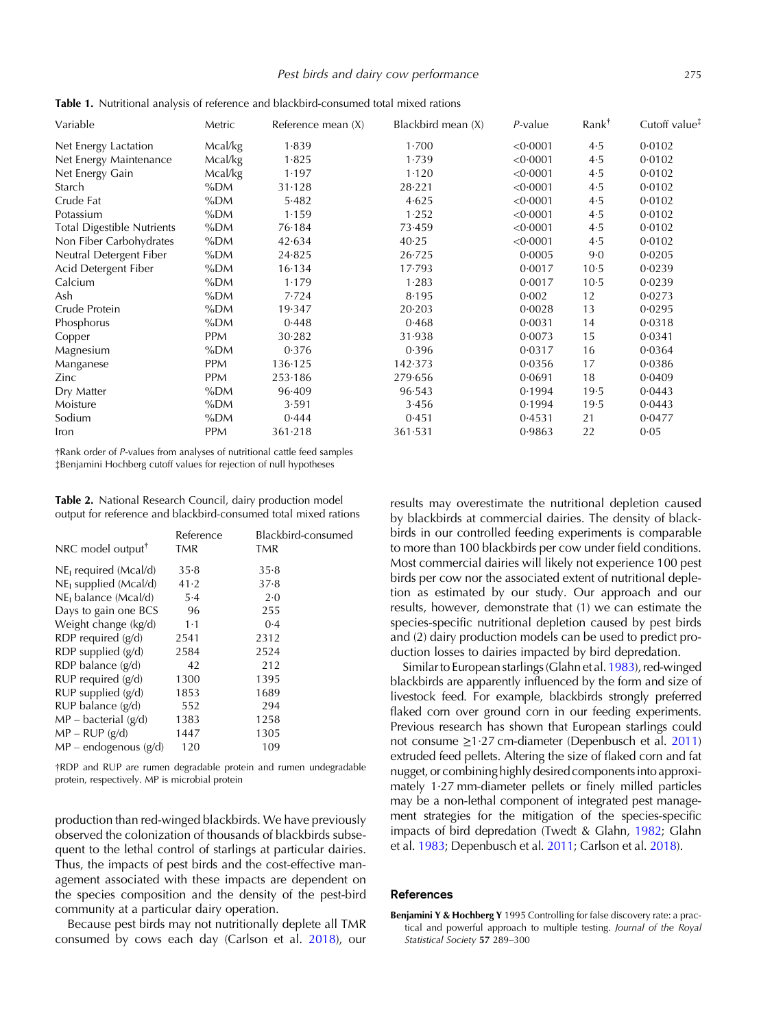<span id="page-4-0"></span>Table 1. Nutritional analysis of reference and blackbird-consumed total mixed rations

| Variable                          | Metric  | Reference mean (X) | Blackbird mean (X) | $P$ -value | Rank <sup>†</sup> | Cutoff value <sup>‡</sup> |
|-----------------------------------|---------|--------------------|--------------------|------------|-------------------|---------------------------|
| Net Energy Lactation              | Mcal/kg | 1.839              | 1.700              | < 0.0001   | 4.5               | 0.0102                    |
| Net Energy Maintenance            | Mcal/kg | 1.825              | 1.739              | < 0.0001   | 4.5               | 0.0102                    |
| Net Energy Gain                   | Mcal/kg | 1.197              | 1.120              | < 0.0001   | 4.5               | 0.0102                    |
| Starch                            | $\%DM$  | $31 - 128$         | 28.221             | < 0.0001   | 4.5               | 0.0102                    |
| Crude Fat                         | $\%DM$  | 5.482              | 4.625              | < 0.0001   | 4.5               | 0.0102                    |
| Potassium                         | $\%DM$  | 1.159              | 1.252              | < 0.0001   | 4.5               | 0.0102                    |
| <b>Total Digestible Nutrients</b> | %DM     | 76.184             | 73.459             | < 0.0001   | 4.5               | 0.0102                    |
| Non Fiber Carbohydrates           | %DM     | 42.634             | 40.25              | < 0.0001   | 4.5               | 0.0102                    |
| Neutral Detergent Fiber           | $\%DM$  | 24.825             | 26.725             | 0.0005     | $9-0$             | 0.0205                    |
| Acid Detergent Fiber              | %DM     | 16.134             | 17.793             | 0.0017     | $10-5$            | 0.0239                    |
| Calcium                           | %DM     | 1.179              | 1.283              | 0.0017     | $10-5$            | 0.0239                    |
| Ash                               | %DM     | 7.724              | 8.195              | 0.002      | 12                | 0.0273                    |
| Crude Protein                     | %DM     | 19.347             | 20.203             | 0.0028     | 13                | 0.0295                    |
| Phosphorus                        | %DM     | 0.448              | 0.468              | 0.0031     | 14                | 0.0318                    |
| Copper                            | PPM     | 30.282             | 31.938             | 0.0073     | 15                | 0.0341                    |
| Magnesium                         | %DM     | 0.376              | 0.396              | 0.0317     | 16                | 0.0364                    |
| Manganese                         | PPM     | 136.125            | 142.373            | 0.0356     | 17                | 0.0386                    |
| Zinc                              | PPM     | 253.186            | 279.656            | 0.0691     | 18                | 0.0409                    |
| Dry Matter                        | $\%DM$  | 96.409             | 96.543             | 0.1994     | 19.5              | 0.0443                    |
| Moisture                          | $\%DM$  | 3.591              | 3.456              | 0.1994     | 19.5              | 0.0443                    |
| Sodium                            | $\%DM$  | 0.444              | 0.451              | 0.4531     | 21                | 0.0477                    |
| Iron                              | PPM     | 361.218            | 361.531            | 0.9863     | 22                | 0.05                      |

†Rank order of P-values from analyses of nutritional cattle feed samples ‡Benjamini Hochberg cutoff values for rejection of null hypotheses

Table 2. National Research Council, dairy production model output for reference and blackbird-consumed total mixed rations

|                                                     | Reference | Blackbird-consumed |
|-----------------------------------------------------|-----------|--------------------|
| NRC model output <sup><math>\mathsf{T}</math></sup> | TMR       | TMR                |
| $NEl$ required (Mcal/d)                             | 35.8      | 35.8               |
| $NE1$ supplied (Mcal/d)                             | 41.2      | 37.8               |
| NE <sub>1</sub> balance (Mcal/d)                    | 5.4       | $2-0$              |
| Days to gain one BCS                                | 96        | 255                |
| Weight change (kg/d)                                | $1-1$     | 0.4                |
| RDP required (g/d)                                  | 2541      | 2312               |
| RDP supplied $(g/d)$                                | 2584      | 2524               |
| RDP balance $(g/d)$                                 | 42        | 212                |
| $RUP$ required $(g/d)$                              | 1300      | 1395               |
| $RUP$ supplied $(g/d)$                              | 1853      | 1689               |
| $RUP$ balance (g/d)                                 | 552       | 294                |
| $MP - bacterial (g/d)$                              | 1383      | 1258               |
| $MP - RUP$ (g/d)                                    | 1447      | 1305               |
| $MP$ – endogenous (g/d)                             | 120       | 109                |

†RDP and RUP are rumen degradable protein and rumen undegradable protein, respectively. MP is microbial protein

production than red-winged blackbirds. We have previously observed the colonization of thousands of blackbirds subsequent to the lethal control of starlings at particular dairies. Thus, the impacts of pest birds and the cost-effective management associated with these impacts are dependent on the species composition and the density of the pest-bird community at a particular dairy operation.

Because pest birds may not nutritionally deplete all TMR consumed by cows each day (Carlson et al. [2018](#page-5-0)), our results may overestimate the nutritional depletion caused by blackbirds at commercial dairies. The density of blackbirds in our controlled feeding experiments is comparable to more than 100 blackbirds per cow under field conditions. Most commercial dairies will likely not experience 100 pest birds per cow nor the associated extent of nutritional depletion as estimated by our study. Our approach and our results, however, demonstrate that (1) we can estimate the species-specific nutritional depletion caused by pest birds and (2) dairy production models can be used to predict production losses to dairies impacted by bird depredation.

Similar to European starlings (Glahn et al. [1983\)](#page-5-0), red-winged blackbirds are apparently influenced by the form and size of livestock feed. For example, blackbirds strongly preferred flaked corn over ground corn in our feeding experiments. Previous research has shown that European starlings could not consume ≥1·27 cm-diameter (Depenbusch et al. [2011\)](#page-5-0) extruded feed pellets. Altering the size of flaked corn and fat nugget, or combining highly desired components into approximately 1·27 mm-diameter pellets or finely milled particles may be a non-lethal component of integrated pest management strategies for the mitigation of the species-specific impacts of bird depredation (Twedt & Glahn, [1982](#page-5-0); Glahn et al. [1983](#page-5-0); Depenbusch et al. [2011;](#page-5-0) Carlson et al. [2018](#page-5-0)).

#### References

**Benjamini Y & Hochberg Y** 1995 Controlling for false discovery rate: a practical and powerful approach to multiple testing. Journal of the Royal Statistical Society 57 289-300